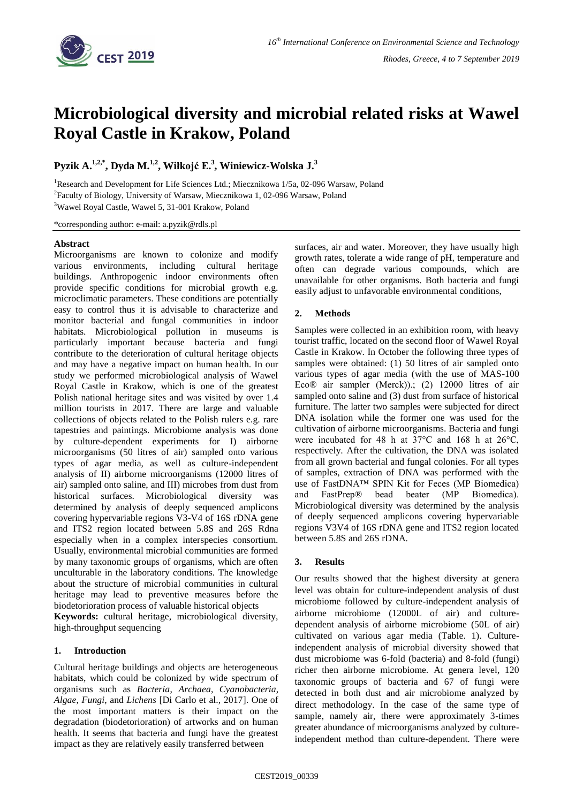

# **Microbiological diversity and microbial related risks at Wawel Royal Castle in Krakow, Poland**

**Pyzik A.1,2,\* , Dyda M.1,2, Wiłkojć E.<sup>3</sup> , Winiewicz-Wolska J.<sup>3</sup>**

<sup>1</sup>Research and Development for Life Sciences Ltd.; Miecznikowa 1/5a, 02-096 Warsaw, Poland <sup>2</sup>Faculty of Biology, University of Warsaw, Miecznikowa 1, 02-096 Warsaw, Poland <sup>3</sup>Wawel Royal Castle, Wawel 5, 31-001 Krakow, Poland

\*corresponding author: e-mail: a.pyzik@rdls.pl

## **Abstract**

Microorganisms are known to colonize and modify various environments, including cultural heritage buildings. Anthropogenic indoor environments often provide specific conditions for microbial growth e.g. microclimatic parameters. These conditions are potentially easy to control thus it is advisable to characterize and monitor bacterial and fungal communities in indoor habitats. Microbiological pollution in museums is particularly important because bacteria and fungi contribute to the deterioration of cultural heritage objects and may have a negative impact on human health. In our study we performed microbiological analysis of Wawel Royal Castle in Krakow, which is one of the greatest Polish national heritage sites and was visited by over 1.4 million tourists in 2017. There are large and valuable collections of objects related to the Polish rulers e.g. rare tapestries and paintings. Microbiome analysis was done by culture-dependent experiments for I) airborne microorganisms (50 litres of air) sampled onto various types of agar media, as well as culture-independent analysis of II) airborne microorganisms (12000 litres of air) sampled onto saline, and III) microbes from dust from historical surfaces. Microbiological diversity was determined by analysis of deeply sequenced amplicons covering hypervariable regions V3-V4 of 16S rDNA gene and ITS2 region located between 5.8S and 26S Rdna especially when in a complex interspecies consortium. Usually, environmental microbial communities are formed by many taxonomic groups of organisms, which are often unculturable in the laboratory conditions. The knowledge about the structure of microbial communities in cultural heritage may lead to preventive measures before the biodetorioration process of valuable historical objects **Keywords:** cultural heritage, microbiological diversity,

high-throughput sequencing

## **1. Introduction**

Cultural heritage buildings and objects are heterogeneous habitats, which could be colonized by wide spectrum of organisms such as *Bacteria*, *Archaea*, *Cyanobacteria*, *Algae*, *Fungi*, and *Lichens* [Di Carlo et al., 2017]. One of the most important matters is their impact on the degradation (biodetorioration) of artworks and on human health. It seems that bacteria and fungi have the greatest impact as they are relatively easily transferred between

surfaces, air and water. Moreover, they have usually high growth rates, tolerate a wide range of pH, temperature and often can degrade various compounds, which are unavailable for other organisms. Both bacteria and fungi easily adjust to unfavorable environmental conditions,

## **2. Methods**

Samples were collected in an exhibition room, with heavy tourist traffic, located on the second floor of Wawel Royal Castle in Krakow. In October the following three types of samples were obtained: (1) 50 litres of air sampled onto various types of agar media (with the use of MAS-100 Eco® air sampler (Merck)).; (2) 12000 litres of air sampled onto saline and (3) dust from surface of historical furniture. The latter two samples were subjected for direct DNA isolation while the former one was used for the cultivation of airborne microorganisms. Bacteria and fungi were incubated for 48 h at 37°C and 168 h at 26°C, respectively. After the cultivation, the DNA was isolated from all grown bacterial and fungal colonies. For all types of samples, extraction of DNA was performed with the use of FastDNA™ SPIN Kit for Feces (MP Biomedica) and FastPrep® bead beater (MP Biomedica). Microbiological diversity was determined by the analysis of deeply sequenced amplicons covering hypervariable regions V3V4 of 16S rDNA gene and ITS2 region located between 5.8S and 26S rDNA.

## **3. Results**

Our results showed that the highest diversity at genera level was obtain for culture-independent analysis of dust microbiome followed by culture-independent analysis of airborne microbiome (12000L of air) and culturedependent analysis of airborne microbiome (50L of air) cultivated on various agar media (Table. 1). Cultureindependent analysis of microbial diversity showed that dust microbiome was 6-fold (bacteria) and 8-fold (fungi) richer then airborne microbiome. At genera level, 120 taxonomic groups of bacteria and 67 of fungi were detected in both dust and air microbiome analyzed by direct methodology. In the case of the same type of sample, namely air, there were approximately 3-times greater abundance of microorganisms analyzed by cultureindependent method than culture-dependent. There were